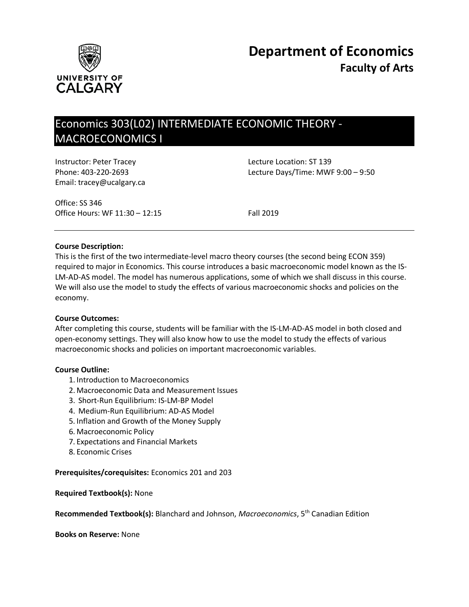

# Economics 303(L02) INTERMEDIATE ECONOMIC THEORY - MACROECONOMICS I

Instructor: Peter Tracey **Lecture Location: ST 139** Email: tracey@ucalgary.ca

Phone: 403-220-2693 Lecture Days/Time: MWF 9:00 – 9:50

Office: SS 346 Office Hours: WF 11:30 – 12:15 Fall 2019

## **Course Description:**

This is the first of the two intermediate-level macro theory courses (the second being ECON 359) required to major in Economics. This course introduces a basic macroeconomic model known as the IS-LM-AD-AS model. The model has numerous applications, some of which we shall discuss in this course. We will also use the model to study the effects of various macroeconomic shocks and policies on the economy.

## **Course Outcomes:**

After completing this course, students will be familiar with the IS-LM-AD-AS model in both closed and open-economy settings. They will also know how to use the model to study the effects of various macroeconomic shocks and policies on important macroeconomic variables.

## **Course Outline:**

- 1. Introduction to Macroeconomics
- 2. Macroeconomic Data and Measurement Issues
- 3. Short-Run Equilibrium: IS-LM-BP Model
- 4. Medium-Run Equilibrium: AD-AS Model
- 5. Inflation and Growth of the Money Supply
- 6. Macroeconomic Policy
- 7. Expectations and Financial Markets
- 8. Economic Crises

## **Prerequisites/corequisites:** Economics 201 and 203

**Required Textbook(s):** None

**Recommended Textbook(s):** Blanchard and Johnson, *Macroeconomics*, 5th Canadian Edition

**Books on Reserve:** None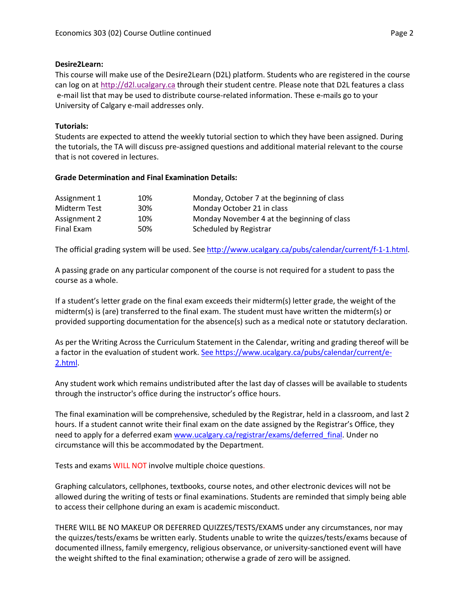## **Desire2Learn:**

This course will make use of the Desire2Learn (D2L) platform. Students who are registered in the course can log on at [http://d2l.ucalgary.ca](http://d2l.ucalgary.ca/) through their student centre. Please note that D2L features a class e-mail list that may be used to distribute course-related information. These e-mails go to your University of Calgary e-mail addresses only.

# **Tutorials:**

Students are expected to attend the weekly tutorial section to which they have been assigned. During the tutorials, the TA will discuss pre-assigned questions and additional material relevant to the course that is not covered in lectures.

## **Grade Determination and Final Examination Details:**

| Assignment 1 | 10% | Monday, October 7 at the beginning of class |
|--------------|-----|---------------------------------------------|
| Midterm Test | 30% | Monday October 21 in class                  |
| Assignment 2 | 10% | Monday November 4 at the beginning of class |
| Final Exam   | 50% | Scheduled by Registrar                      |

The official grading system will be used. See [http://www.ucalgary.ca/pubs/calendar/current/f-1-1.html.](http://www.ucalgary.ca/pubs/calendar/current/f-1-1.html)

A passing grade on any particular component of the course is not required for a student to pass the course as a whole.

If a student's letter grade on the final exam exceeds their midterm(s) letter grade, the weight of the midterm(s) is (are) transferred to the final exam. The student must have written the midterm(s) or provided supporting documentation for the absence(s) such as a medical note or statutory declaration.

As per the Writing Across the Curriculum Statement in the Calendar, writing and grading thereof will be a factor in the evaluation of student work. [See https://www.ucalgary.ca/pubs/calendar/current/e-](https://www.ucalgary.ca/pubs/calendar/current/e-2.html)[2.html.](https://www.ucalgary.ca/pubs/calendar/current/e-2.html)

Any student work which remains undistributed after the last day of classes will be available to students through the instructor's office during the instructor's office hours.

The final examination will be comprehensive, scheduled by the Registrar, held in a classroom, and last 2 hours. If a student cannot write their final exam on the date assigned by the Registrar's Office, they need to apply for a deferred exam [www.ucalgary.ca/registrar/exams/deferred\\_final.](http://www.ucalgary.ca/registrar/exams/deferred_final) Under no circumstance will this be accommodated by the Department.

Tests and exams WILL NOT involve multiple choice questions.

Graphing calculators, cellphones, textbooks, course notes, and other electronic devices will not be allowed during the writing of tests or final examinations. Students are reminded that simply being able to access their cellphone during an exam is academic misconduct.

THERE WILL BE NO MAKEUP OR DEFERRED QUIZZES/TESTS/EXAMS under any circumstances, nor may the quizzes/tests/exams be written early. Students unable to write the quizzes/tests/exams because of documented illness, family emergency, religious observance, or university-sanctioned event will have the weight shifted to the final examination; otherwise a grade of zero will be assigned.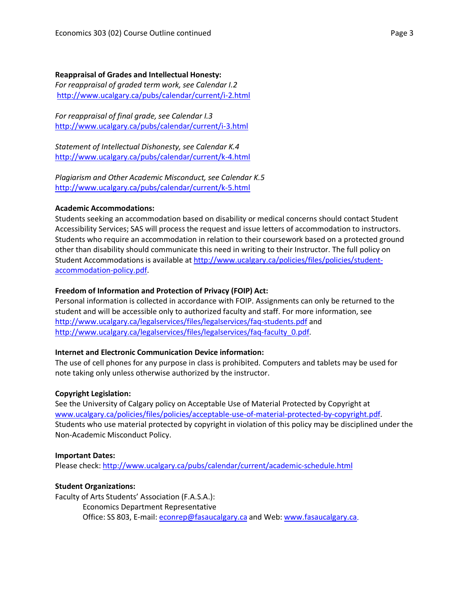#### **Reappraisal of Grades and Intellectual Honesty:**

*For reappraisal of graded term work, see Calendar I.2* <http://www.ucalgary.ca/pubs/calendar/current/i-2.html>

*For reappraisal of final grade, see Calendar I.3* <http://www.ucalgary.ca/pubs/calendar/current/i-3.html>

*Statement of Intellectual Dishonesty, see Calendar K.4* <http://www.ucalgary.ca/pubs/calendar/current/k-4.html>

*Plagiarism and Other Academic Misconduct, see Calendar K.5* <http://www.ucalgary.ca/pubs/calendar/current/k-5.html>

#### **Academic Accommodations:**

Students seeking an accommodation based on disability or medical concerns should contact Student Accessibility Services; SAS will process the request and issue letters of accommodation to instructors. Students who require an accommodation in relation to their coursework based on a protected ground other than disability should communicate this need in writing to their Instructor. The full policy on Student Accommodations is available at [http://www.ucalgary.ca/policies/files/policies/student](http://www.ucalgary.ca/policies/files/policies/student-accommodation-policy.pdf)[accommodation-policy.pdf.](http://www.ucalgary.ca/policies/files/policies/student-accommodation-policy.pdf)

## **Freedom of Information and Protection of Privacy (FOIP) Act:**

Personal information is collected in accordance with FOIP. Assignments can only be returned to the student and will be accessible only to authorized faculty and staff. For more information, see <http://www.ucalgary.ca/legalservices/files/legalservices/faq-students.pdf> and [http://www.ucalgary.ca/legalservices/files/legalservices/faq-faculty\\_0.pdf.](http://www.ucalgary.ca/legalservices/files/legalservices/faq-faculty_0.pdf)

## **Internet and Electronic Communication Device information:**

The use of cell phones for any purpose in class is prohibited. Computers and tablets may be used for note taking only unless otherwise authorized by the instructor.

#### **Copyright Legislation:**

See the University of Calgary policy on Acceptable Use of Material Protected by Copyright at [www.ucalgary.ca/policies/files/policies/acceptable-use-of-material-protected-by-copyright.pdf.](http://www.ucalgary.ca/policies/files/policies/acceptable-use-of-material-protected-by-copyright.pdf) Students who use material protected by copyright in violation of this policy may be disciplined under the Non-Academic Misconduct Policy.

#### **Important Dates:**

Please check:<http://www.ucalgary.ca/pubs/calendar/current/academic-schedule.html>

## **Student Organizations:**

Faculty of Arts Students' Association (F.A.S.A.): Economics Department Representative Office: SS 803, E-mail: [econrep@fasaucalgary.ca](mailto:econrep@fasaucalgary.ca)</u> and Web: [www.fasaucalgary.ca.](http://www.fasaucalgary.ca/)